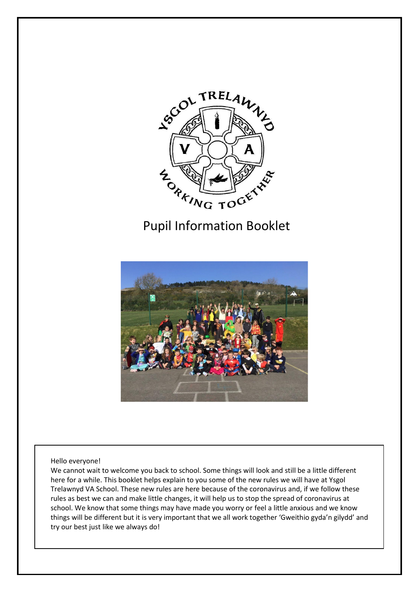

# Pupil Information Booklet



Hello everyone!

We cannot wait to welcome you back to school. Some things will look and still be a little different here for a while. This booklet helps explain to you some of the new rules we will have at Ysgol Trelawnyd VA School. These new rules are here because of the coronavirus and, if we follow these rules as best we can and make little changes, it will help us to stop the spread of coronavirus at school. We know that some things may have made you worry or feel a little anxious and we know things will be different but it is very important that we all work together 'Gweithio gyda'n gilydd' and try our best just like we always do!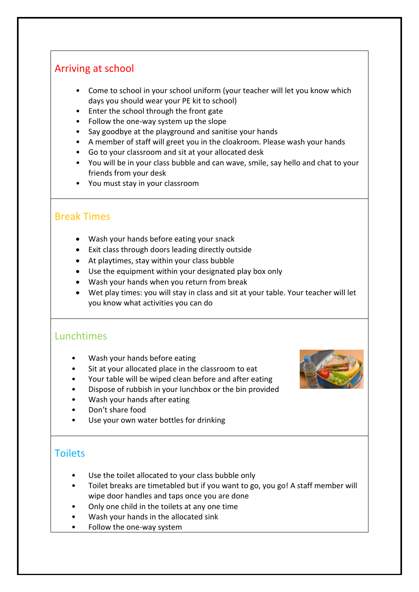# Arriving at school

- Come to school in your school uniform (your teacher will let you know which days you should wear your PE kit to school)
- Enter the school through the front gate
- Follow the one-way system up the slope
- Say goodbye at the playground and sanitise your hands
- A member of staff will greet you in the cloakroom. Please wash your hands
- Go to your classroom and sit at your allocated desk
- You will be in your class bubble and can wave, smile, say hello and chat to your friends from your desk
- You must stay in your classroom

## Break Times

- Wash your hands before eating your snack
- Exit class through doors leading directly outside
- At playtimes, stay within your class bubble
- Use the equipment within your designated play box only
- Wash your hands when you return from break
- Wet play times: you will stay in class and sit at your table. Your teacher will let you know what activities you can do

## Lunchtimes

- Wash your hands before eating
- Sit at your allocated place in the classroom to eat

Your table will be wiped clean before and after eating



- Dispose of rubbish in your lunchbox or the bin provided
- Wash your hands after eating
- Don't share food
- Use your own water bottles for drinking

# **Toilets**

- Use the toilet allocated to your class bubble only
- Toilet breaks are timetabled but if you want to go, you go! A staff member will wipe door handles and taps once you are done
- Only one child in the toilets at any one time
- Wash your hands in the allocated sink
- Follow the one-way system